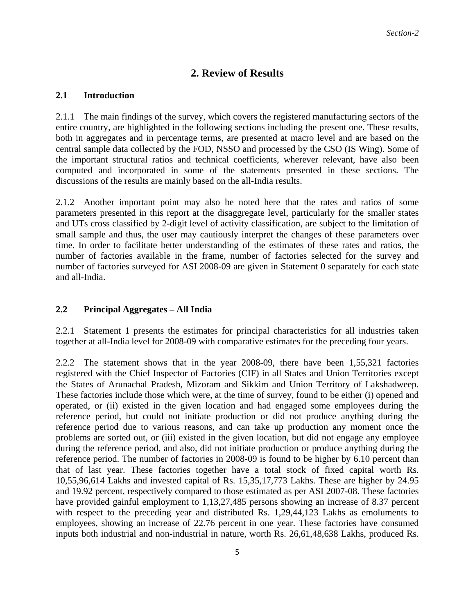# **2. Review of Results**

#### **2.1 Introduction**

2.1.1 The main findings of the survey, which covers the registered manufacturing sectors of the entire country, are highlighted in the following sections including the present one. These results, both in aggregates and in percentage terms, are presented at macro level and are based on the central sample data collected by the FOD, NSSO and processed by the CSO (IS Wing). Some of the important structural ratios and technical coefficients, wherever relevant, have also been computed and incorporated in some of the statements presented in these sections. The discussions of the results are mainly based on the all-India results.

2.1.2 Another important point may also be noted here that the rates and ratios of some parameters presented in this report at the disaggregate level, particularly for the smaller states and UTs cross classified by 2-digit level of activity classification, are subject to the limitation of small sample and thus, the user may cautiously interpret the changes of these parameters over time. In order to facilitate better understanding of the estimates of these rates and ratios, the number of factories available in the frame, number of factories selected for the survey and number of factories surveyed for ASI 2008-09 are given in Statement 0 separately for each state and all-India.

### **2.2 Principal Aggregates – All India**

2.2.1 Statement 1 presents the estimates for principal characteristics for all industries taken together at all-India level for 2008-09 with comparative estimates for the preceding four years.

2.2.2 The statement shows that in the year 2008-09, there have been 1,55,321 factories registered with the Chief Inspector of Factories (CIF) in all States and Union Territories except the States of Arunachal Pradesh, Mizoram and Sikkim and Union Territory of Lakshadweep. These factories include those which were, at the time of survey, found to be either (i) opened and operated, or (ii) existed in the given location and had engaged some employees during the reference period, but could not initiate production or did not produce anything during the reference period due to various reasons, and can take up production any moment once the problems are sorted out, or (iii) existed in the given location, but did not engage any employee during the reference period, and also, did not initiate production or produce anything during the reference period. The number of factories in 2008-09 is found to be higher by 6.10 percent than that of last year. These factories together have a total stock of fixed capital worth Rs. 10,55,96,614 Lakhs and invested capital of Rs. 15,35,17,773 Lakhs. These are higher by 24.95 and 19.92 percent, respectively compared to those estimated as per ASI 2007-08. These factories have provided gainful employment to 1,13,27,485 persons showing an increase of 8.37 percent with respect to the preceding year and distributed Rs. 1,29,44,123 Lakhs as emoluments to employees, showing an increase of 22.76 percent in one year. These factories have consumed inputs both industrial and non-industrial in nature, worth Rs. 26,61,48,638 Lakhs, produced Rs.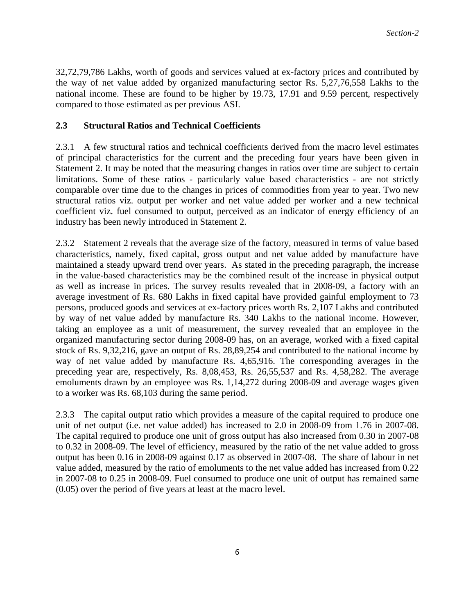32,72,79,786 Lakhs, worth of goods and services valued at ex-factory prices and contributed by the way of net value added by organized manufacturing sector Rs. 5,27,76,558 Lakhs to the national income. These are found to be higher by 19.73, 17.91 and 9.59 percent, respectively compared to those estimated as per previous ASI.

## **2.3 Structural Ratios and Technical Coefficients**

2.3.1 A few structural ratios and technical coefficients derived from the macro level estimates of principal characteristics for the current and the preceding four years have been given in Statement 2. It may be noted that the measuring changes in ratios over time are subject to certain limitations. Some of these ratios - particularly value based characteristics - are not strictly comparable over time due to the changes in prices of commodities from year to year. Two new structural ratios viz. output per worker and net value added per worker and a new technical coefficient viz. fuel consumed to output, perceived as an indicator of energy efficiency of an industry has been newly introduced in Statement 2.

2.3.2 Statement 2 reveals that the average size of the factory, measured in terms of value based characteristics, namely, fixed capital, gross output and net value added by manufacture have maintained a steady upward trend over years. As stated in the preceding paragraph, the increase in the value-based characteristics may be the combined result of the increase in physical output as well as increase in prices. The survey results revealed that in 2008-09, a factory with an average investment of Rs. 680 Lakhs in fixed capital have provided gainful employment to 73 persons, produced goods and services at ex-factory prices worth Rs. 2,107 Lakhs and contributed by way of net value added by manufacture Rs. 340 Lakhs to the national income. However, taking an employee as a unit of measurement, the survey revealed that an employee in the organized manufacturing sector during 2008-09 has, on an average, worked with a fixed capital stock of Rs. 9,32,216, gave an output of Rs. 28,89,254 and contributed to the national income by way of net value added by manufacture Rs. 4,65,916. The corresponding averages in the preceding year are, respectively, Rs. 8,08,453, Rs. 26,55,537 and Rs. 4,58,282. The average emoluments drawn by an employee was Rs. 1,14,272 during 2008-09 and average wages given to a worker was Rs. 68,103 during the same period.

2.3.3 The capital output ratio which provides a measure of the capital required to produce one unit of net output (i.e. net value added) has increased to 2.0 in 2008-09 from 1.76 in 2007-08. The capital required to produce one unit of gross output has also increased from 0.30 in 2007-08 to 0.32 in 2008-09. The level of efficiency, measured by the ratio of the net value added to gross output has been 0.16 in 2008-09 against 0.17 as observed in 2007-08. The share of labour in net value added, measured by the ratio of emoluments to the net value added has increased from 0.22 in 2007-08 to 0.25 in 2008-09. Fuel consumed to produce one unit of output has remained same (0.05) over the period of five years at least at the macro level.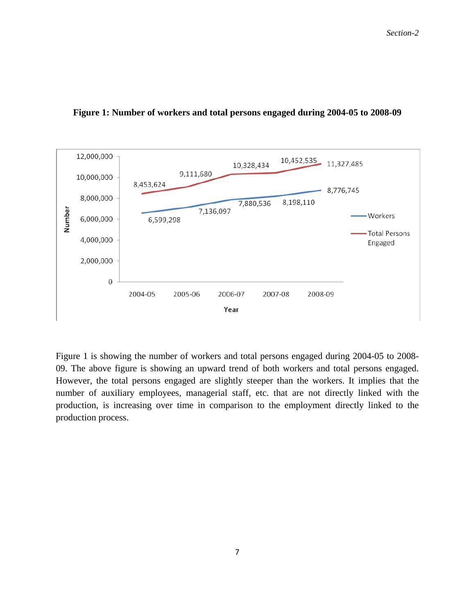

#### **Figure 1: Number of workers and total persons engaged during 2004-05 to 2008-09**

Figure 1 is showing the number of workers and total persons engaged during 2004-05 to 2008- 09. The above figure is showing an upward trend of both workers and total persons engaged. However, the total persons engaged are slightly steeper than the workers. It implies that the number of auxiliary employees, managerial staff, etc. that are not directly linked with the production, is increasing over time in comparison to the employment directly linked to the production process.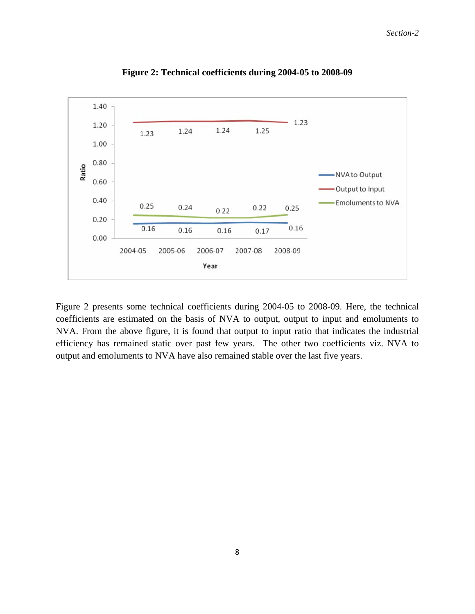

**Figure 2: Technical coefficients during 2004-05 to 2008-09** 

Figure 2 presents some technical coefficients during 2004-05 to 2008-09. Here, the technical coefficients are estimated on the basis of NVA to output, output to input and emoluments to NVA. From the above figure, it is found that output to input ratio that indicates the industrial efficiency has remained static over past few years. The other two coefficients viz. NVA to output and emoluments to NVA have also remained stable over the last five years.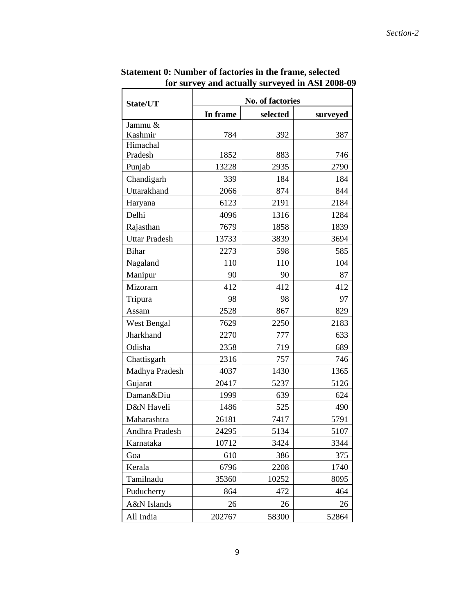| State/UT             | <b>No. of factories</b> |          |          |  |  |  |  |
|----------------------|-------------------------|----------|----------|--|--|--|--|
|                      | In frame                | selected | surveyed |  |  |  |  |
| Jammu &              |                         |          |          |  |  |  |  |
| Kashmir              | 784                     | 392      | 387      |  |  |  |  |
| Himachal<br>Pradesh  |                         |          | 746      |  |  |  |  |
|                      | 1852                    | 883      |          |  |  |  |  |
| Punjab               | 13228                   | 2935     | 2790     |  |  |  |  |
| Chandigarh           | 339                     | 184      | 184      |  |  |  |  |
| Uttarakhand          | 2066                    | 874      | 844      |  |  |  |  |
| Haryana              | 6123                    | 2191     | 2184     |  |  |  |  |
| Delhi                | 4096                    | 1316     | 1284     |  |  |  |  |
| Rajasthan            | 7679                    | 1858     | 1839     |  |  |  |  |
| <b>Uttar Pradesh</b> | 13733                   | 3839     | 3694     |  |  |  |  |
| <b>Bihar</b>         | 2273                    | 598      | 585      |  |  |  |  |
| Nagaland             | 110                     | 110      | 104      |  |  |  |  |
| Manipur              | 90                      | 90       | 87       |  |  |  |  |
| Mizoram              | 412                     | 412      | 412      |  |  |  |  |
| Tripura              | 98                      | 98       | 97       |  |  |  |  |
| Assam                | 2528                    | 867      | 829      |  |  |  |  |
| West Bengal          | 7629                    | 2250     | 2183     |  |  |  |  |
| Jharkhand            | 2270                    | 777      | 633      |  |  |  |  |
| Odisha               | 2358                    | 719      | 689      |  |  |  |  |
| Chattisgarh          | 2316                    | 757      | 746      |  |  |  |  |
| Madhya Pradesh       | 4037                    | 1430     | 1365     |  |  |  |  |
| Gujarat              | 20417                   | 5237     | 5126     |  |  |  |  |
| Daman&Diu            | 1999                    | 639      | 624      |  |  |  |  |
| D&N Haveli           | 1486                    | 525      | 490      |  |  |  |  |
| Maharashtra          | 26181                   | 7417     | 5791     |  |  |  |  |
| Andhra Pradesh       | 24295                   | 5134     | 5107     |  |  |  |  |
| Karnataka            | 10712                   | 3424     | 3344     |  |  |  |  |
| Goa                  | 610                     | 386      | 375      |  |  |  |  |
| Kerala               | 6796                    | 2208     | 1740     |  |  |  |  |
| Tamilnadu            | 35360                   | 10252    | 8095     |  |  |  |  |
| Puducherry           | 864                     | 472      | 464      |  |  |  |  |
| A&N Islands          | 26                      | 26       | 26       |  |  |  |  |
| All India            | 202767                  | 58300    | 52864    |  |  |  |  |

 **Statement 0: Number of factories in the frame, selected for survey and actually surveyed in ASI 2008-09**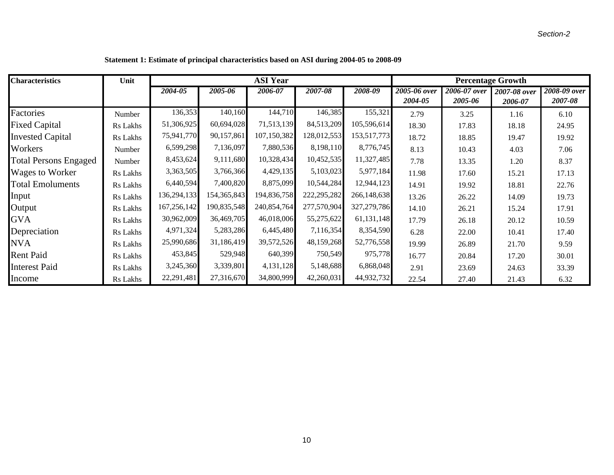| <b>Characteristics</b>       | Unit     | <b>ASI Year</b> |             |             |             | <b>Percentage Growth</b> |              |              |              |              |
|------------------------------|----------|-----------------|-------------|-------------|-------------|--------------------------|--------------|--------------|--------------|--------------|
|                              |          | 2004-05         | 2005-06     | 2006-07     | 2007-08     | 2008-09                  | 2005-06 over | 2006-07 over | 2007-08 over | 2008-09 over |
|                              |          |                 |             |             |             |                          | 2004-05      | 2005-06      | 2006-07      | 2007-08      |
| Factories                    | Number   | 136,353         | 140,160     | 144,710     | 146,385     | 155,321                  | 2.79         | 3.25         | 1.16         | 6.10         |
| <b>Fixed Capital</b>         | Rs Lakhs | 51,306,925      | 60,694,028  | 71,513,139  | 84,513,209  | 105,596,614              | 18.30        | 17.83        | 18.18        | 24.95        |
| <b>Invested Capital</b>      | Rs Lakhs | 75,941,770      | 90,157,861  | 107,150,382 | 128,012,553 | 153,517,773              | 18.72        | 18.85        | 19.47        | 19.92        |
| Workers                      | Number   | 6,599,298       | 7,136,097   | 7,880,536   | 8,198,110   | 8,776,745                | 8.13         | 10.43        | 4.03         | 7.06         |
| <b>Total Persons Engaged</b> | Number   | 8,453,624       | 9,111,680   | 10,328,434  | 10,452,535  | 11,327,485               | 7.78         | 13.35        | 1.20         | 8.37         |
| Wages to Worker              | Rs Lakhs | 3,363,505       | 3,766,366   | 4,429,135   | 5,103,023   | 5,977,184                | 11.98        | 17.60        | 15.21        | 17.13        |
| <b>Total Emoluments</b>      | Rs Lakhs | 6,440,594       | 7,400,820   | 8,875,099   | 10,544,284  | 12,944,123               | 14.91        | 19.92        | 18.81        | 22.76        |
| Input                        | Rs Lakhs | 136,294,133     | 154,365,843 | 194,836,758 | 222,295,282 | 266,148,638              | 13.26        | 26.22        | 14.09        | 19.73        |
| Output                       | Rs Lakhs | 167,256,142     | 190,835,548 | 240,854,764 | 277,570,904 | 327,279,786              | 14.10        | 26.21        | 15.24        | 17.91        |
| <b>GVA</b>                   | Rs Lakhs | 30,962,009      | 36,469,705  | 46,018,006  | 55,275,622  | 61,131,148               | 17.79        | 26.18        | 20.12        | 10.59        |
| Depreciation                 | Rs Lakhs | 4,971,324       | 5,283,286   | 6,445,480   | 7,116,354   | 8,354,590                | 6.28         | 22.00        | 10.41        | 17.40        |
| <b>NVA</b>                   | Rs Lakhs | 25,990,686      | 31,186,419  | 39,572,526  | 48,159,268  | 52,776,558               | 19.99        | 26.89        | 21.70        | 9.59         |
| <b>Rent Paid</b>             | Rs Lakhs | 453,845         | 529,948     | 640,399     | 750,549     | 975,778                  | 16.77        | 20.84        | 17.20        | 30.01        |
| <b>Interest Paid</b>         | Rs Lakhs | 3,245,360       | 3,339,801   | 4,131,128   | 5,148,688   | 6,868,048                | 2.91         | 23.69        | 24.63        | 33.39        |
| Income                       | Rs Lakhs | 22,291,481      | 27,316,670  | 34,800,999  | 42,260,031  | 44,932,732               | 22.54        | 27.40        | 21.43        | 6.32         |